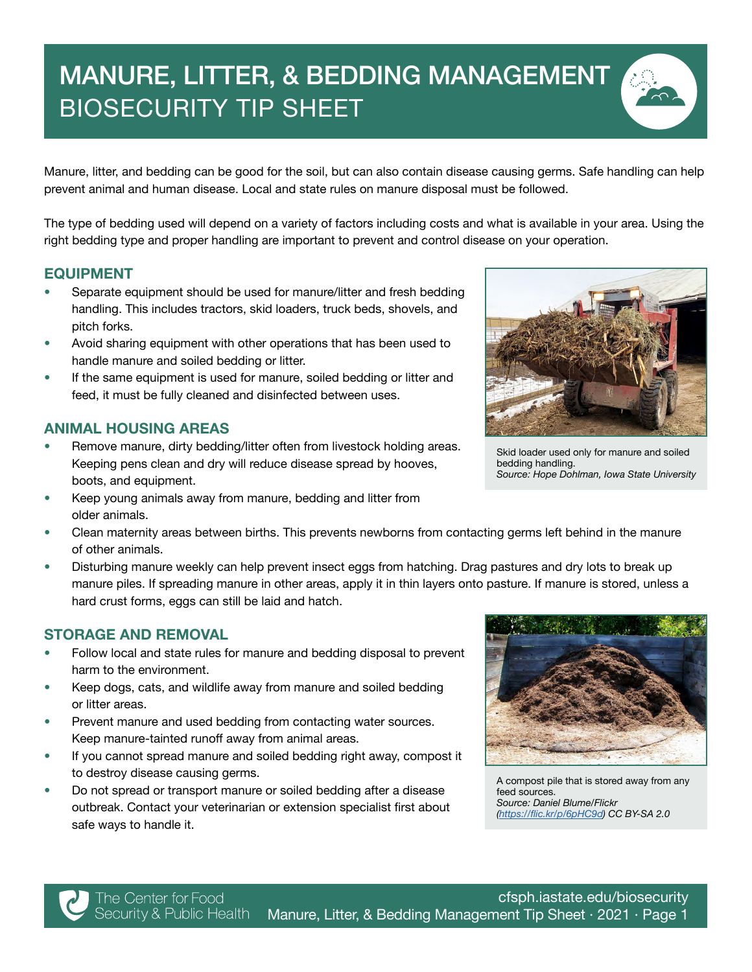# MANURE, LITTER, & BEDDING MANAGEMENT BIOSECURITY TIP SHEET

Manure, litter, and bedding can be good for the soil, but can also contain disease causing germs. Safe handling can help prevent animal and human disease. Local and state rules on manure disposal must be followed.

The type of bedding used will depend on a variety of factors including costs and what is available in your area. Using the right bedding type and proper handling are important to prevent and control disease on your operation.

#### EQUIPMENT

- Separate equipment should be used for manure/litter and fresh bedding handling. This includes tractors, skid loaders, truck beds, shovels, and pitch forks.
- Avoid sharing equipment with other operations that has been used to handle manure and soiled bedding or litter.
- If the same equipment is used for manure, soiled bedding or litter and feed, it must be fully cleaned and disinfected between uses.

## ANIMAL HOUSING AREAS

- Remove manure, dirty bedding/litter often from livestock holding areas. Keeping pens clean and dry will reduce disease spread by hooves, boots, and equipment.
- Keep young animals away from manure, bedding and litter from older animals.
- Clean maternity areas between births. This prevents newborns from contacting germs left behind in the manure of other animals.
- Disturbing manure weekly can help prevent insect eggs from hatching. Drag pastures and dry lots to break up manure piles. If spreading manure in other areas, apply it in thin layers onto pasture. If manure is stored, unless a hard crust forms, eggs can still be laid and hatch.

## STORAGE AND REMOVAL

- Follow local and state rules for manure and bedding disposal to prevent harm to the environment.
- Keep dogs, cats, and wildlife away from manure and soiled bedding or litter areas.
- Prevent manure and used bedding from contacting water sources. Keep manure-tainted runoff away from animal areas.
- If you cannot spread manure and soiled bedding right away, compost it to destroy disease causing germs.
- Do not spread or transport manure or soiled bedding after a disease outbreak. Contact your veterinarian or extension specialist first about safe ways to handle it.



A compost pile that is stored away from any feed sources. *Source: Daniel Blume/Flickr (*<https://flic.kr/p/6pHC9d>) CC BY-SA 2.0

Skid loader used only for manure and soiled bedding handling. Source: Hope Dohlman, Iowa State University